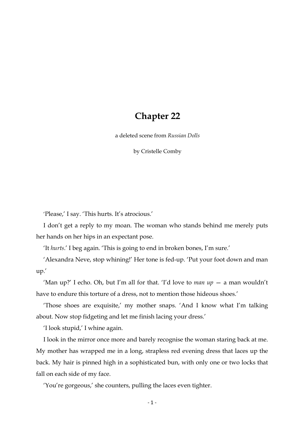## **Chapter 22**

a deleted scene from *Russian Dolls*

by Cristelle Comby

'Please,' I say. 'This hurts. It's atrocious.'

I don't get a reply to my moan. The woman who stands behind me merely puts her hands on her hips in an expectant pose.

'It *hurts*.' I beg again. 'This is going to end in broken bones, I'm sure.'

'Alexandra Neve, stop whining!' Her tone is fed-up. 'Put your foot down and man up.'

'Man up?' I echo. Oh, but I'm all for that. 'I'd love to *man up* — a man wouldn't have to endure this torture of a dress, not to mention those hideous shoes.'

'Those shoes are exquisite,' my mother snaps. 'And I know what I'm talking about. Now stop fidgeting and let me finish lacing your dress.'

'I look stupid,' I whine again.

I look in the mirror once more and barely recognise the woman staring back at me. My mother has wrapped me in a long, strapless red evening dress that laces up the back. My hair is pinned high in a sophisticated bun, with only one or two locks that fall on each side of my face.

'You're gorgeous,' she counters, pulling the laces even tighter.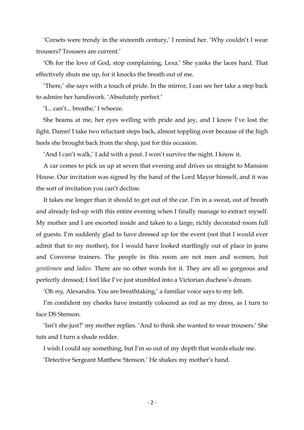'Corsets were trendy in the sixteenth century,' I remind her. 'Why couldn't I wear trousers? Trousers are current.'

'Oh for the love of God, stop complaining, Lexa.' She yanks the laces hard. That effectively shuts me up, for it knocks the breath out of me.

'There,' she says with a touch of pride. In the mirror, I can see her take a step back to admire her handiwork. 'Absolutely perfect.'

'I... can't... breathe,' I wheeze.

She beams at me, her eyes welling with pride and joy, and I know I've lost the fight. Damn! I take two reluctant steps back, almost toppling over because of the high heels she brought back from the shop, just for this occasion.

'And I can't walk,' I add with a pout. I won't survive the night. I know it.

A car comes to pick us up at seven that evening and drives us straight to Mansion House. Our invitation was signed by the hand of the Lord Mayor himself, and it was the sort of invitation you can't decline.

It takes me longer than it should to get out of the car. I'm in a sweat, out of breath and already fed-up with this entire evening when I finally manage to extract myself. My mother and I are escorted inside and taken to a large, richly decorated room full of guests. I'm suddenly glad to have dressed up for the event (not that I would ever admit that to my mother), for I would have looked startlingly out of place in jeans and Converse trainers. The people in this room are not men and women, but *gentlemen* and *ladies*. There are no other words for it. They are all so gorgeous and perfectly dressed; I feel like I've just stumbled into a Victorian duchess's dream.

'Oh *my*, Alexandra. You are breathtaking,' a familiar voice says to my left.

I'm confident my cheeks have instantly coloured as red as my dress, as I turn to face DS Stenson.

'Isn't she just?' my mother replies. 'And to think she wanted to wear trousers.' She tuts and I turn a shade redder.

I wish I could say something, but I'm so out of my depth that words elude me.

'Detective Sergeant Matthew Stenson.' He shakes my mother's hand.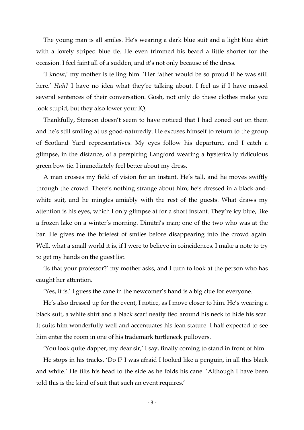The young man is all smiles. He's wearing a dark blue suit and a light blue shirt with a lovely striped blue tie. He even trimmed his beard a little shorter for the occasion. I feel faint all of a sudden, and it's not only because of the dress.

'I know,' my mother is telling him. 'Her father would be so proud if he was still here.' *Huh?* I have no idea what they're talking about. I feel as if I have missed several sentences of their conversation. Gosh, not only do these clothes make you look stupid, but they also lower your IQ.

Thankfully, Stenson doesn't seem to have noticed that I had zoned out on them and he's still smiling at us good-naturedly. He excuses himself to return to the group of Scotland Yard representatives. My eyes follow his departure, and I catch a glimpse, in the distance, of a perspiring Langford wearing a hysterically ridiculous green bow tie. I immediately feel better about my dress.

A man crosses my field of vision for an instant. He's tall, and he moves swiftly through the crowd. There's nothing strange about him; he's dressed in a black-andwhite suit, and he mingles amiably with the rest of the guests. What draws my attention is his eyes, which I only glimpse at for a short instant. They're icy blue, like a frozen lake on a winter's morning. Dimitri's man; one of the two who was at the bar. He gives me the briefest of smiles before disappearing into the crowd again. Well, what a small world it is, if I were to believe in coincidences. I make a note to try to get my hands on the guest list.

'Is that your professor?' my mother asks, and I turn to look at the person who has caught her attention.

'Yes, it is.' I guess the cane in the newcomer's hand is a big clue for everyone.

He's also dressed up for the event, I notice, as I move closer to him. He's wearing a black suit, a white shirt and a black scarf neatly tied around his neck to hide his scar. It suits him wonderfully well and accentuates his lean stature. I half expected to see him enter the room in one of his trademark turtleneck pullovers.

'You look quite dapper, my dear sir,' I say, finally coming to stand in front of him.

He stops in his tracks. 'Do I? I was afraid I looked like a penguin, in all this black and white.' He tilts his head to the side as he folds his cane. 'Although I have been told this is the kind of suit that such an event requires.'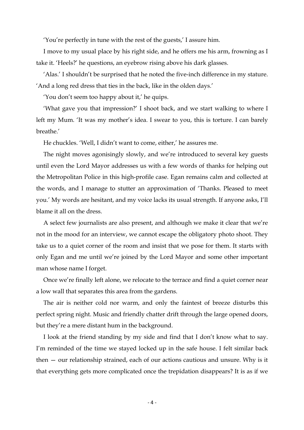'You're perfectly in tune with the rest of the guests,' I assure him.

I move to my usual place by his right side, and he offers me his arm, frowning as I take it. 'Heels?' he questions, an eyebrow rising above his dark glasses.

'Alas.' I shouldn't be surprised that he noted the five-inch difference in my stature. 'And a long red dress that ties in the back, like in the olden days.'

'You don't seem too happy about it,' he quips.

'What gave you that impression?' I shoot back, and we start walking to where I left my Mum. 'It was my mother's idea. I swear to you, this is torture. I can barely breathe.'

He chuckles. 'Well, I didn't want to come, either,' he assures me.

The night moves agonisingly slowly, and we're introduced to several key guests until even the Lord Mayor addresses us with a few words of thanks for helping out the Metropolitan Police in this high-profile case. Egan remains calm and collected at the words, and I manage to stutter an approximation of 'Thanks. Pleased to meet you.' My words are hesitant, and my voice lacks its usual strength. If anyone asks, I'll blame it all on the dress.

A select few journalists are also present, and although we make it clear that we're not in the mood for an interview, we cannot escape the obligatory photo shoot. They take us to a quiet corner of the room and insist that we pose for them. It starts with only Egan and me until we're joined by the Lord Mayor and some other important man whose name I forget.

Once we're finally left alone, we relocate to the terrace and find a quiet corner near a low wall that separates this area from the gardens.

The air is neither cold nor warm, and only the faintest of breeze disturbs this perfect spring night. Music and friendly chatter drift through the large opened doors, but they're a mere distant hum in the background.

I look at the friend standing by my side and find that I don't know what to say. I'm reminded of the time we stayed locked up in the safe house. I felt similar back then — our relationship strained, each of our actions cautious and unsure. Why is it that everything gets more complicated once the trepidation disappears? It is as if we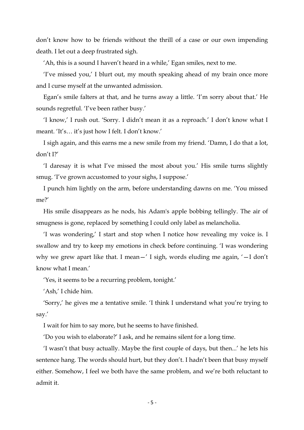don't know how to be friends without the thrill of a case or our own impending death. I let out a deep frustrated sigh.

'Ah, this is a sound I haven't heard in a while,' Egan smiles, next to me.

'I've missed you,' I blurt out, my mouth speaking ahead of my brain once more and I curse myself at the unwanted admission.

Egan's smile falters at that, and he turns away a little. 'I'm sorry about that.' He sounds regretful. 'I've been rather busy.'

'I know,' I rush out. 'Sorry. I didn't mean it as a reproach.' I don't know what I meant. 'It's… it's just how I felt. I don't know.'

I sigh again, and this earns me a new smile from my friend. 'Damn, I do that a lot, don't I?'

'I daresay it is what I've missed the most about you.' His smile turns slightly smug. 'I've grown accustomed to your sighs, I suppose.'

I punch him lightly on the arm, before understanding dawns on me. 'You missed me?'

His smile disappears as he nods, his Adam's apple bobbing tellingly. The air of smugness is gone, replaced by something I could only label as melancholia.

'I was wondering,' I start and stop when I notice how revealing my voice is. I swallow and try to keep my emotions in check before continuing. 'I was wondering why we grew apart like that. I mean—' I sigh, words eluding me again, '—I don't know what I mean.'

'Yes, it seems to be a recurring problem, tonight.'

'Ash,' I chide him.

'Sorry,' he gives me a tentative smile. 'I think I understand what you're trying to say.'

I wait for him to say more, but he seems to have finished.

'Do you wish to elaborate?' I ask, and he remains silent for a long time.

'I wasn't that busy actually. Maybe the first couple of days, but then...' he lets his sentence hang. The words should hurt, but they don't. I hadn't been that busy myself either. Somehow, I feel we both have the same problem, and we're both reluctant to admit it.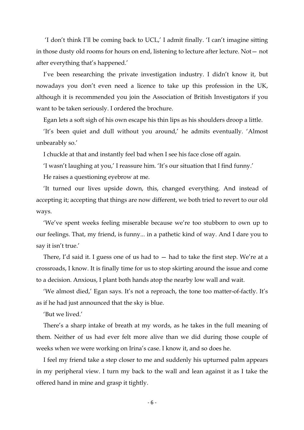'I don't think I'll be coming back to UCL,' I admit finally. 'I can't imagine sitting in those dusty old rooms for hours on end, listening to lecture after lecture. Not— not after everything that's happened.'

I've been researching the private investigation industry. I didn't know it, but nowadays you don't even need a licence to take up this profession in the UK, although it is recommended you join the Association of British Investigators if you want to be taken seriously. I ordered the brochure.

Egan lets a soft sigh of his own escape his thin lips as his shoulders droop a little.

'It's been quiet and dull without you around,' he admits eventually. 'Almost unbearably so.'

I chuckle at that and instantly feel bad when I see his face close off again.

'I wasn't laughing at you,' I reassure him. 'It's our situation that I find funny.'

He raises a questioning eyebrow at me.

'It turned our lives upside down, this, changed everything. And instead of accepting it; accepting that things are now different, we both tried to revert to our old ways.

'We've spent weeks feeling miserable because we're too stubborn to own up to our feelings. That, my friend, is funny... in a pathetic kind of way. And I dare you to say it isn't true.'

There, I'd said it. I guess one of us had to  $-$  had to take the first step. We're at a crossroads, I know. It is finally time for us to stop skirting around the issue and come to a decision. Anxious, I plant both hands atop the nearby low wall and wait.

'We almost died,' Egan says. It's not a reproach, the tone too matter-of-factly. It's as if he had just announced that the sky is blue.

'But we lived.'

There's a sharp intake of breath at my words, as he takes in the full meaning of them. Neither of us had ever felt more alive than we did during those couple of weeks when we were working on Irina's case. I know it, and so does he.

I feel my friend take a step closer to me and suddenly his upturned palm appears in my peripheral view. I turn my back to the wall and lean against it as I take the offered hand in mine and grasp it tightly.